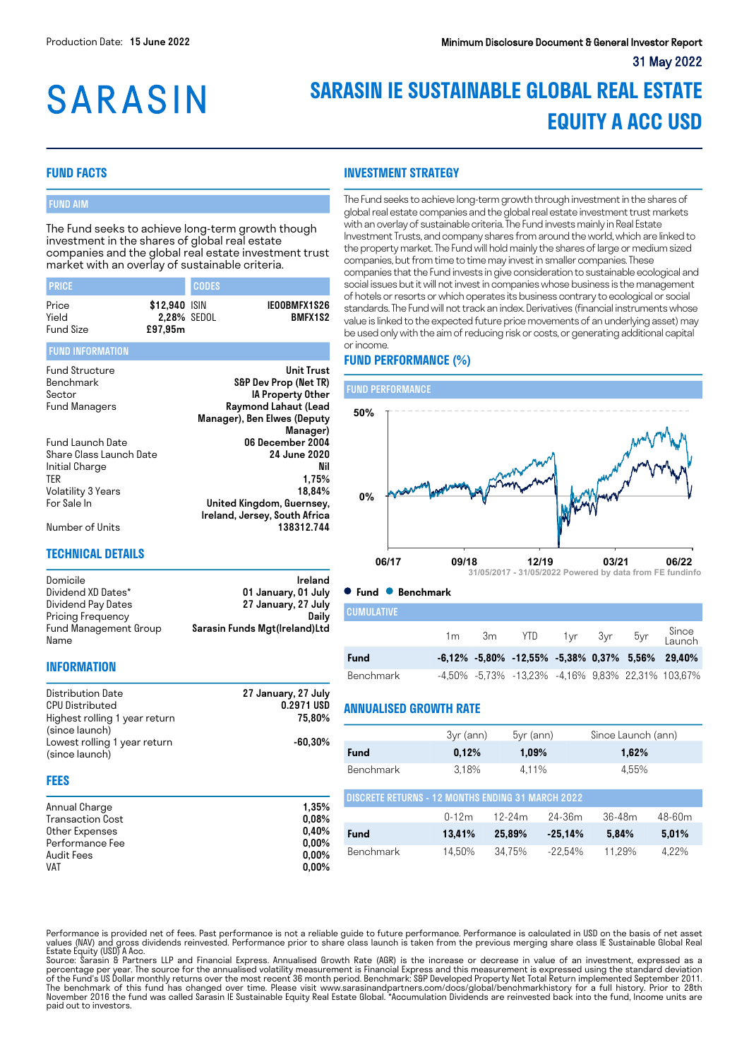# **SARASIN**

# **SARASIN IE SUSTAINABLE GLOBAL REAL ESTATE EQUITY A ACC USD**

# **FUND FACTS**

# FUND AIM

The Fund seeks to achieve long-term growth though investment in the shares of global real estate companies and the global real estate investment trust market with an overlay of sustainable criteria.

| <b>PRICE</b>     |                              | <b>CODES</b> |                                |
|------------------|------------------------------|--------------|--------------------------------|
| Price<br>Yield   | \$12,940 ISIN<br>2.28% SEDOL |              | IEOOBMFX1S26<br><b>BMFX1S2</b> |
| <b>Fund Size</b> | £97.95m                      |              |                                |

#### FUND INFORMATION

| <b>Fund Structure</b>   | Unit Trust                    |
|-------------------------|-------------------------------|
| Benchmark               | S&P Dev Prop (Net TR)         |
| Sector                  | IA Property Other             |
| <b>Fund Managers</b>    | Raymond Lahaut (Lead          |
|                         | Manager), Ben Elwes (Deputy   |
|                         | Manager)                      |
| <b>Fund Launch Date</b> | 06 December 2004              |
| Share Class Launch Date | 24 June 2020                  |
| Initial Charge          | Nil                           |
| TER                     | 1.75%                         |
| Volatility 3 Years      | 18.84%                        |
| For Sale In             | United Kingdom, Guernsey,     |
|                         | Ireland, Jersey, South Africa |
| Number of Units         | 138312.744                    |

# **TECHNICAL DETAILS**

Domicile **Ireland** Dividend XD Dates\* 01 January, 01 July<br>Dividend Pay Dates 27 January, 27 July 27 January, 27 July<br>Daily Pricing Frequency Fund Management Group Name Sarasin Funds Mgt(Ireland)Ltd

#### **INFORMATION**

| Distribution Date             | 27 January, 27 July |
|-------------------------------|---------------------|
| <b>CPU Distributed</b>        | 0.2971 USD          |
| Highest rolling 1 year return | 75.80%              |
| (since launch)                |                     |
| Lowest rolling 1 year return  | $-60.30\%$          |
| (since launch)                |                     |

#### **FEES**

| Annual Charge    | 1.35%    |
|------------------|----------|
| Transaction Cost | 0.08%    |
| Other Expenses   | 0.40%    |
| Performance Fee  | $0.00\%$ |
| Audit Fees       | $0.00\%$ |
| VAT              | $0.00\%$ |

**INVESTMENT STRATEGY**

The Fund seeks to achieve long-term growth through investment in the shares of global real estate companies and the global real estate investment trust markets with an overlay of sustainable criteria. The Fund invests mainly in Real Estate Investment Trusts, and company shares from around the world, which are linked to the property market. The Fund will hold mainly the shares of large or medium sized companies, but from time to time may invest in smaller companies. These companies that the Fund invests in give consideration to sustainable ecological and social issues but it will not invest in companies whose business is the management of hotels or resorts or which operates its business contrary to ecological or social standards. The Fund will not track an index. Derivatives (financial instruments whose value is linked to the expected future price movements of an underlying asset) may be used only with the aim of reducing risk or costs, or generating additional capital or income.

# **FUND PERFORMANCE (%)**





**CUMULATIVE** 

| I GUIVIULATIVE. |                |      |                                                             |  |             |                 |
|-----------------|----------------|------|-------------------------------------------------------------|--|-------------|-----------------|
|                 | 1 <sub>m</sub> | 3m - | <b>YTD</b>                                                  |  | 1yr 3yr 5yr | Since<br>Launch |
| Fund            |                |      | $-6,12\%$ $-5,80\%$ $-12,55\%$ $-5,38\%$ 0,37% 5,56% 29,40% |  |             |                 |
| Benchmark       |                |      | -4,50% -5,73% -13,23% -4,16% 9,83% 22,31% 103,67%           |  |             |                 |

### **ANNUALISED GROWTH RATE**

|                                                   | 3yr (ann) | $5yr$ (ann) | Since Launch (ann) |
|---------------------------------------------------|-----------|-------------|--------------------|
| <b>Fund</b>                                       | 0.12%     | 1.09%       | 1.62%              |
| Benchmark                                         | 3.18%     | 4.11%       | 4.55%              |
| DISCRETE RETURNS - 12 MONTHS ENDING 31 MARCH 2022 |           |             |                    |

|             | $0-12m$ | 12-24m | 24-36m    | .36-48m | 48-60m |
|-------------|---------|--------|-----------|---------|--------|
| <b>Fund</b> | 13.41%  | 25.89% | $-25.14%$ | 5.84%   | 5.01%  |
| Benchmark   | 14.50%  | 34.75% | -22.54%   | 11.29%  | 4.22%  |

Performance is provided net of fees. Past performance is not a reliable guide to future performance. Performance is calculated in USD on the basis of net asset values (NAV) and gross dividends reinvested. Performance prior to share class launch is taken from the previous merging share class IE Sustainable Global Real<br>Estate Equity (USD) A Acc.

Source: Sarasin & Partners LLP and Financial Express. Annualised Growth Rate (AGR) is the increase or decrease in value of an investment, expressed as a percentage per year. The source for the annualised volatility measurement is Financial Express and this measurement is expressed using the standard deviation<br>of the Fund's US Dollar monthly returns over the most recent 36 The benchmark of this fund has changed over time. Please visit www.sarasinandpartners.com/docs/global/benchmarkhistory for a full history. Prior to 28th<br>November 2016 the fund was called Sarasin IE Sustainable Equity Real paid out to investors.